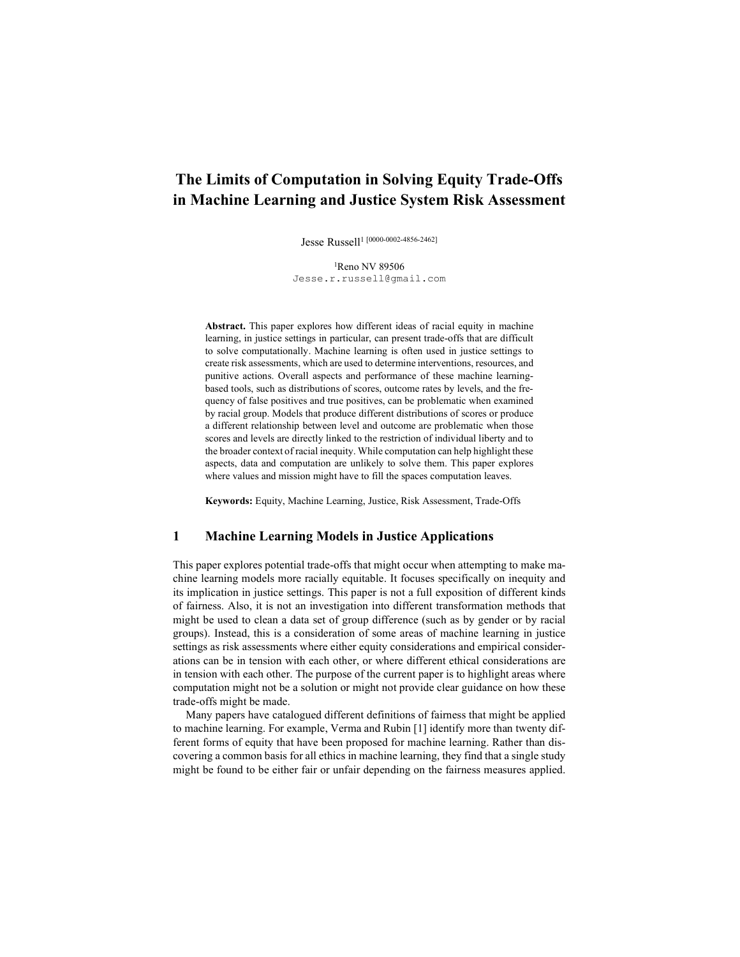# The Limits of Computation in Solving Equity Trade-Offs in Machine Learning and Justice System Risk Assessment

Jesse Russell<sup>1 [0000-0002-4856-2462]</sup>

<sup>1</sup>Reno NV 89506 Jesse.r.russell@gmail.com

Abstract. This paper explores how different ideas of racial equity in machine learning, in justice settings in particular, can present trade-offs that are difficult to solve computationally. Machine learning is often used in justice settings to create risk assessments, which are used to determine interventions, resources, and punitive actions. Overall aspects and performance of these machine learningbased tools, such as distributions of scores, outcome rates by levels, and the frequency of false positives and true positives, can be problematic when examined by racial group. Models that produce different distributions of scores or produce a different relationship between level and outcome are problematic when those scores and levels are directly linked to the restriction of individual liberty and to the broader context of racial inequity. While computation can help highlight these aspects, data and computation are unlikely to solve them. This paper explores where values and mission might have to fill the spaces computation leaves.

Keywords: Equity, Machine Learning, Justice, Risk Assessment, Trade-Offs

#### 1 Machine Learning Models in Justice Applications

This paper explores potential trade-offs that might occur when attempting to make machine learning models more racially equitable. It focuses specifically on inequity and its implication in justice settings. This paper is not a full exposition of different kinds of fairness. Also, it is not an investigation into different transformation methods that might be used to clean a data set of group difference (such as by gender or by racial groups). Instead, this is a consideration of some areas of machine learning in justice settings as risk assessments where either equity considerations and empirical considerations can be in tension with each other, or where different ethical considerations are in tension with each other. The purpose of the current paper is to highlight areas where computation might not be a solution or might not provide clear guidance on how these trade-offs might be made.

Many papers have catalogued different definitions of fairness that might be applied to machine learning. For example, Verma and Rubin [1] identify more than twenty different forms of equity that have been proposed for machine learning. Rather than discovering a common basis for all ethics in machine learning, they find that a single study might be found to be either fair or unfair depending on the fairness measures applied.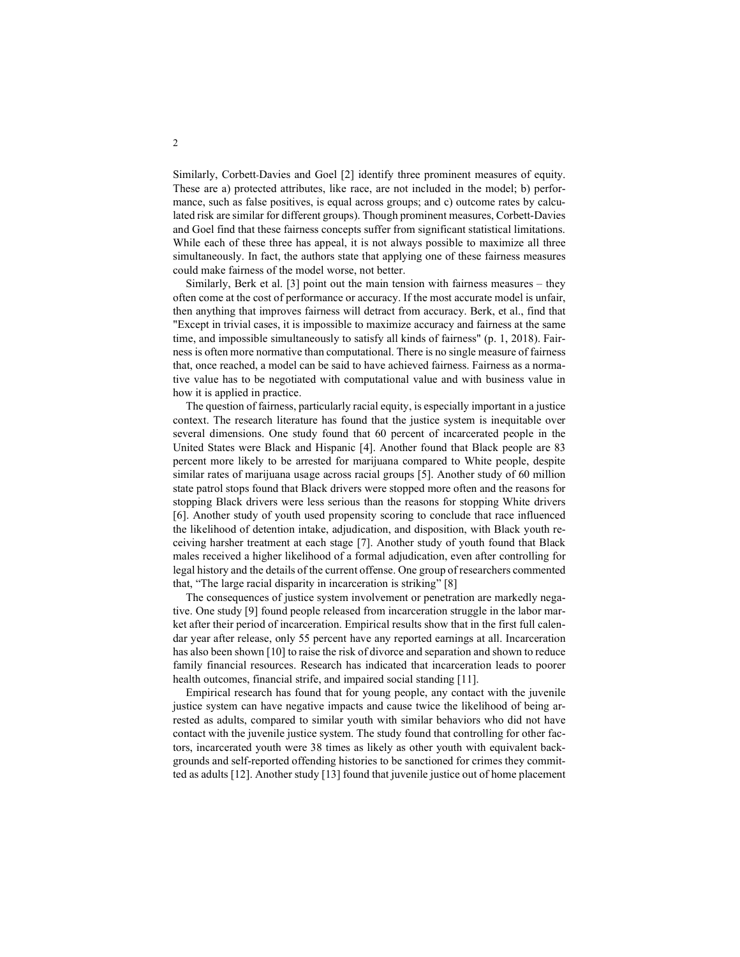Similarly, Corbett-Davies and Goel [2] identify three prominent measures of equity. These are a) protected attributes, like race, are not included in the model; b) performance, such as false positives, is equal across groups; and c) outcome rates by calculated risk are similar for different groups). Though prominent measures, Corbett-Davies and Goel find that these fairness concepts suffer from significant statistical limitations. While each of these three has appeal, it is not always possible to maximize all three simultaneously. In fact, the authors state that applying one of these fairness measures could make fairness of the model worse, not better.

Similarly, Berk et al. [3] point out the main tension with fairness measures – they often come at the cost of performance or accuracy. If the most accurate model is unfair, then anything that improves fairness will detract from accuracy. Berk, et al., find that "Except in trivial cases, it is impossible to maximize accuracy and fairness at the same time, and impossible simultaneously to satisfy all kinds of fairness" (p. 1, 2018). Fairness is often more normative than computational. There is no single measure of fairness that, once reached, a model can be said to have achieved fairness. Fairness as a normative value has to be negotiated with computational value and with business value in how it is applied in practice.

The question of fairness, particularly racial equity, is especially important in a justice context. The research literature has found that the justice system is inequitable over several dimensions. One study found that 60 percent of incarcerated people in the United States were Black and Hispanic [4]. Another found that Black people are 83 percent more likely to be arrested for marijuana compared to White people, despite similar rates of marijuana usage across racial groups [5]. Another study of 60 million state patrol stops found that Black drivers were stopped more often and the reasons for stopping Black drivers were less serious than the reasons for stopping White drivers [6]. Another study of youth used propensity scoring to conclude that race influenced the likelihood of detention intake, adjudication, and disposition, with Black youth receiving harsher treatment at each stage [7]. Another study of youth found that Black males received a higher likelihood of a formal adjudication, even after controlling for legal history and the details of the current offense. One group of researchers commented that, "The large racial disparity in incarceration is striking" [8]

The consequences of justice system involvement or penetration are markedly negative. One study [9] found people released from incarceration struggle in the labor market after their period of incarceration. Empirical results show that in the first full calendar year after release, only 55 percent have any reported earnings at all. Incarceration has also been shown [10] to raise the risk of divorce and separation and shown to reduce family financial resources. Research has indicated that incarceration leads to poorer health outcomes, financial strife, and impaired social standing [11].

Empirical research has found that for young people, any contact with the juvenile justice system can have negative impacts and cause twice the likelihood of being arrested as adults, compared to similar youth with similar behaviors who did not have contact with the juvenile justice system. The study found that controlling for other factors, incarcerated youth were 38 times as likely as other youth with equivalent backgrounds and self-reported offending histories to be sanctioned for crimes they committed as adults [12]. Another study [13] found that juvenile justice out of home placement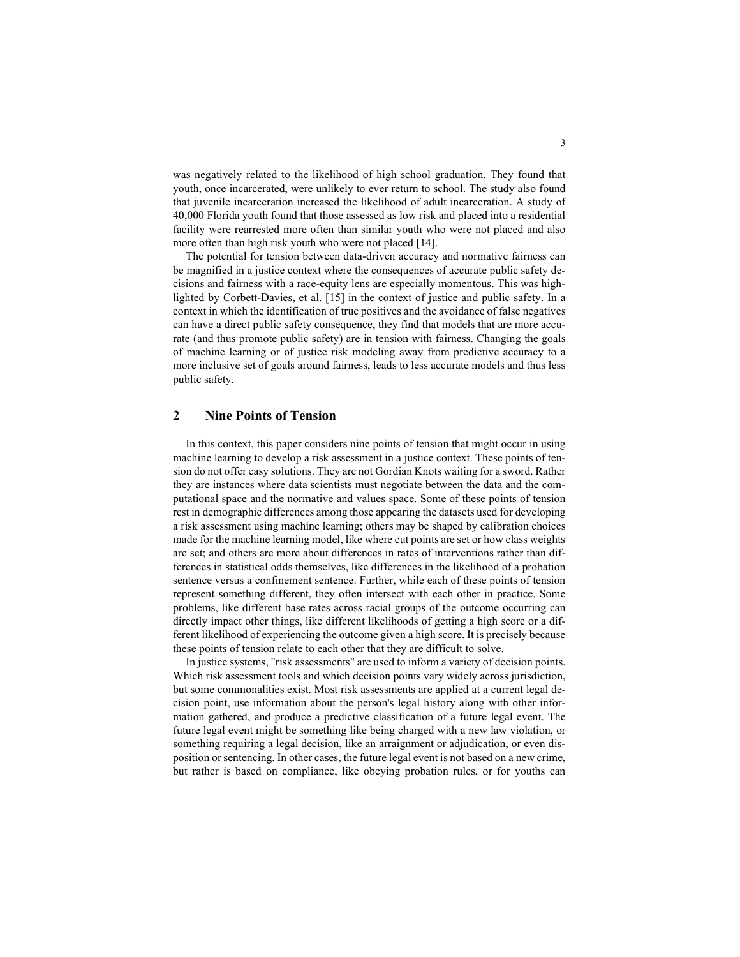was negatively related to the likelihood of high school graduation. They found that youth, once incarcerated, were unlikely to ever return to school. The study also found that juvenile incarceration increased the likelihood of adult incarceration. A study of 40,000 Florida youth found that those assessed as low risk and placed into a residential facility were rearrested more often than similar youth who were not placed and also more often than high risk youth who were not placed [14].

The potential for tension between data-driven accuracy and normative fairness can be magnified in a justice context where the consequences of accurate public safety decisions and fairness with a race-equity lens are especially momentous. This was highlighted by Corbett-Davies, et al. [15] in the context of justice and public safety. In a context in which the identification of true positives and the avoidance of false negatives can have a direct public safety consequence, they find that models that are more accurate (and thus promote public safety) are in tension with fairness. Changing the goals of machine learning or of justice risk modeling away from predictive accuracy to a more inclusive set of goals around fairness, leads to less accurate models and thus less public safety.

## 2 Nine Points of Tension

In this context, this paper considers nine points of tension that might occur in using machine learning to develop a risk assessment in a justice context. These points of tension do not offer easy solutions. They are not Gordian Knots waiting for a sword. Rather they are instances where data scientists must negotiate between the data and the computational space and the normative and values space. Some of these points of tension rest in demographic differences among those appearing the datasets used for developing a risk assessment using machine learning; others may be shaped by calibration choices made for the machine learning model, like where cut points are set or how class weights are set; and others are more about differences in rates of interventions rather than differences in statistical odds themselves, like differences in the likelihood of a probation sentence versus a confinement sentence. Further, while each of these points of tension represent something different, they often intersect with each other in practice. Some problems, like different base rates across racial groups of the outcome occurring can directly impact other things, like different likelihoods of getting a high score or a different likelihood of experiencing the outcome given a high score. It is precisely because these points of tension relate to each other that they are difficult to solve.

In justice systems, "risk assessments" are used to inform a variety of decision points. Which risk assessment tools and which decision points vary widely across jurisdiction, but some commonalities exist. Most risk assessments are applied at a current legal decision point, use information about the person's legal history along with other information gathered, and produce a predictive classification of a future legal event. The future legal event might be something like being charged with a new law violation, or something requiring a legal decision, like an arraignment or adjudication, or even disposition or sentencing. In other cases, the future legal event is not based on a new crime, but rather is based on compliance, like obeying probation rules, or for youths can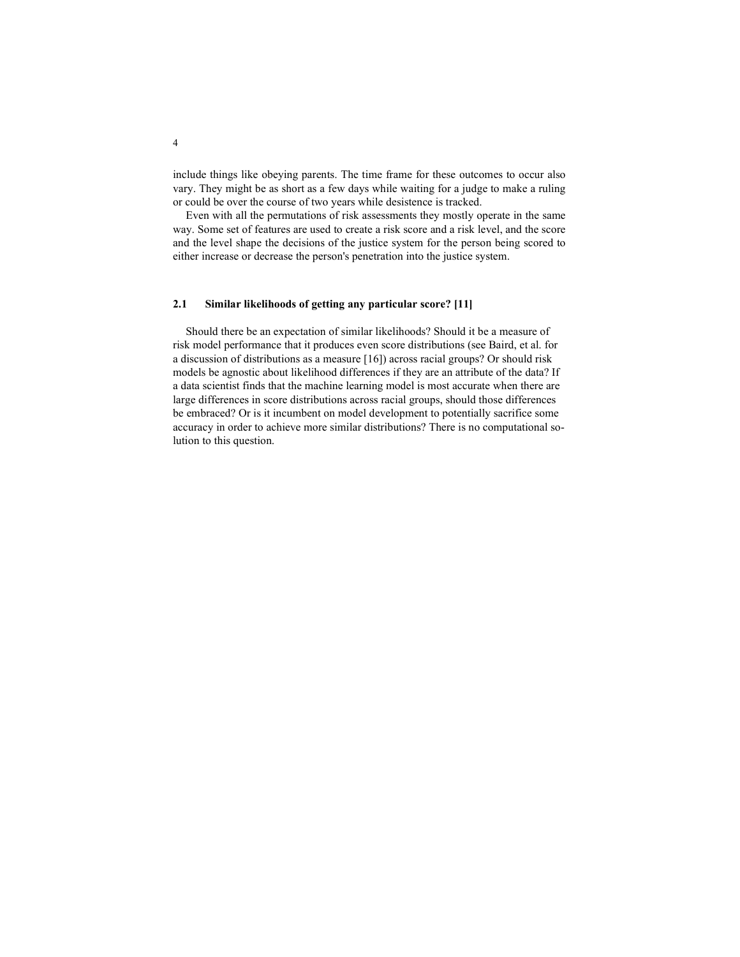include things like obeying parents. The time frame for these outcomes to occur also vary. They might be as short as a few days while waiting for a judge to make a ruling or could be over the course of two years while desistence is tracked.

Even with all the permutations of risk assessments they mostly operate in the same way. Some set of features are used to create a risk score and a risk level, and the score and the level shape the decisions of the justice system for the person being scored to either increase or decrease the person's penetration into the justice system.

#### 2.1 Similar likelihoods of getting any particular score? [11]

Should there be an expectation of similar likelihoods? Should it be a measure of risk model performance that it produces even score distributions (see Baird, et al. for a discussion of distributions as a measure [16]) across racial groups? Or should risk models be agnostic about likelihood differences if they are an attribute of the data? If a data scientist finds that the machine learning model is most accurate when there are large differences in score distributions across racial groups, should those differences be embraced? Or is it incumbent on model development to potentially sacrifice some accuracy in order to achieve more similar distributions? There is no computational solution to this question.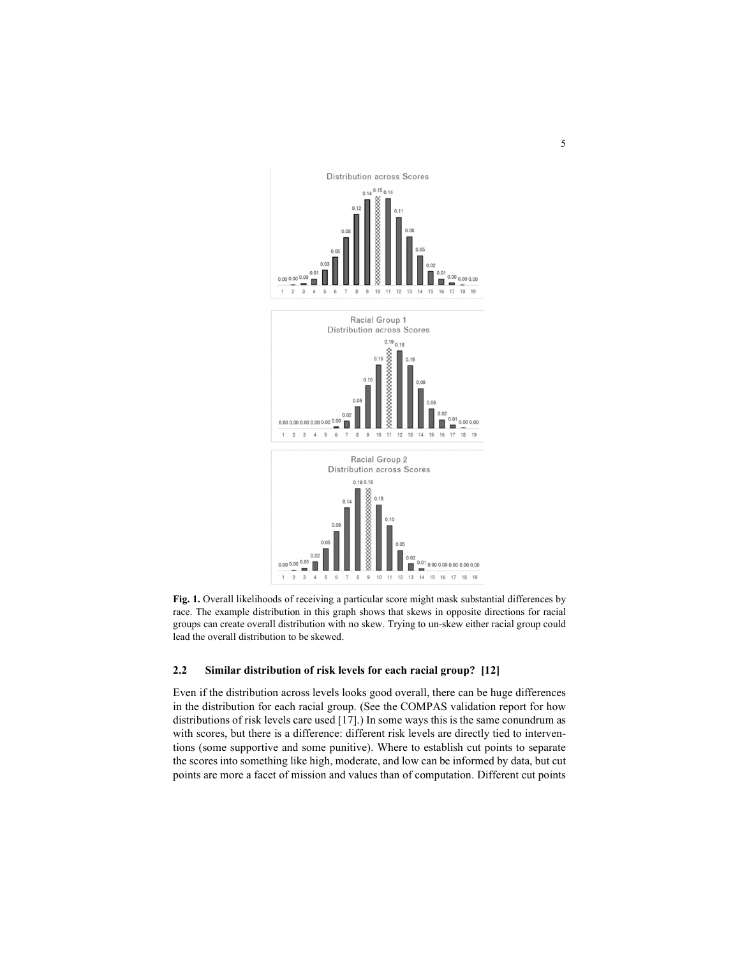

Fig. 1. Overall likelihoods of receiving a particular score might mask substantial differences by race. The example distribution in this graph shows that skews in opposite directions for racial groups can create overall distribution with no skew. Trying to un-skew either racial group could lead the overall distribution to be skewed.

## 2.2 Similar distribution of risk levels for each racial group? [12]

Even if the distribution across levels looks good overall, there can be huge differences in the distribution for each racial group. (See the COMPAS validation report for how distributions of risk levels care used [17].) In some ways this is the same conundrum as with scores, but there is a difference: different risk levels are directly tied to interventions (some supportive and some punitive). Where to establish cut points to separate the scores into something like high, moderate, and low can be informed by data, but cut points are more a facet of mission and values than of computation. Different cut points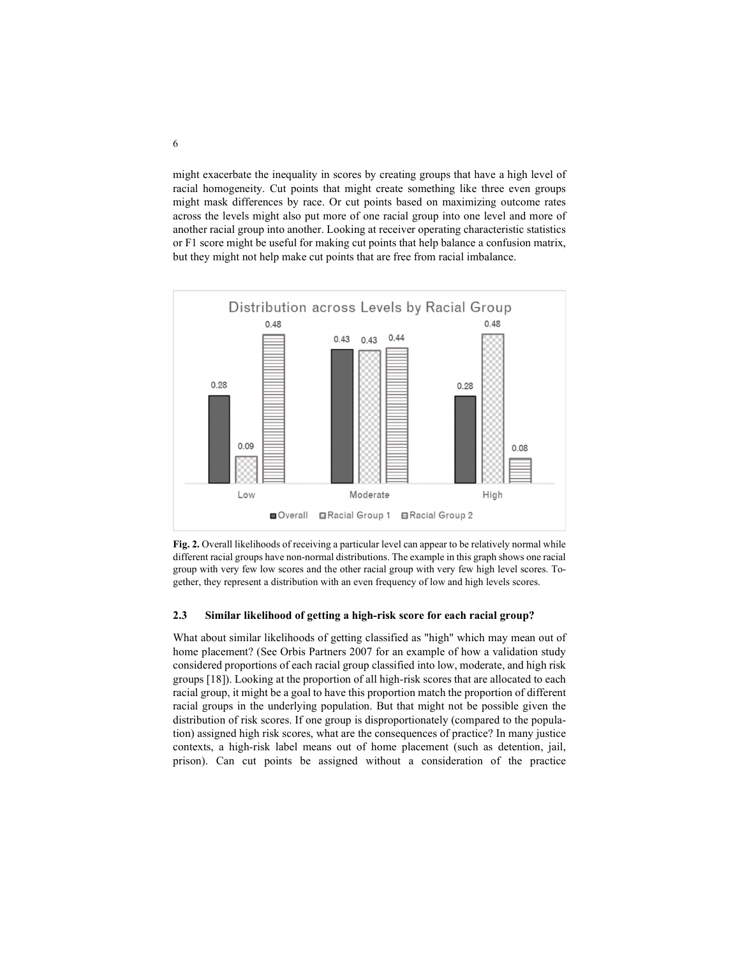might exacerbate the inequality in scores by creating groups that have a high level of racial homogeneity. Cut points that might create something like three even groups might mask differences by race. Or cut points based on maximizing outcome rates across the levels might also put more of one racial group into one level and more of another racial group into another. Looking at receiver operating characteristic statistics or F1 score might be useful for making cut points that help balance a confusion matrix, but they might not help make cut points that are free from racial imbalance.



Fig. 2. Overall likelihoods of receiving a particular level can appear to be relatively normal while different racial groups have non-normal distributions. The example in this graph shows one racial group with very few low scores and the other racial group with very few high level scores. Together, they represent a distribution with an even frequency of low and high levels scores.

#### 2.3 Similar likelihood of getting a high-risk score for each racial group?

What about similar likelihoods of getting classified as "high" which may mean out of home placement? (See Orbis Partners 2007 for an example of how a validation study considered proportions of each racial group classified into low, moderate, and high risk groups [18]). Looking at the proportion of all high-risk scores that are allocated to each racial group, it might be a goal to have this proportion match the proportion of different racial groups in the underlying population. But that might not be possible given the distribution of risk scores. If one group is disproportionately (compared to the population) assigned high risk scores, what are the consequences of practice? In many justice contexts, a high-risk label means out of home placement (such as detention, jail, prison). Can cut points be assigned without a consideration of the practice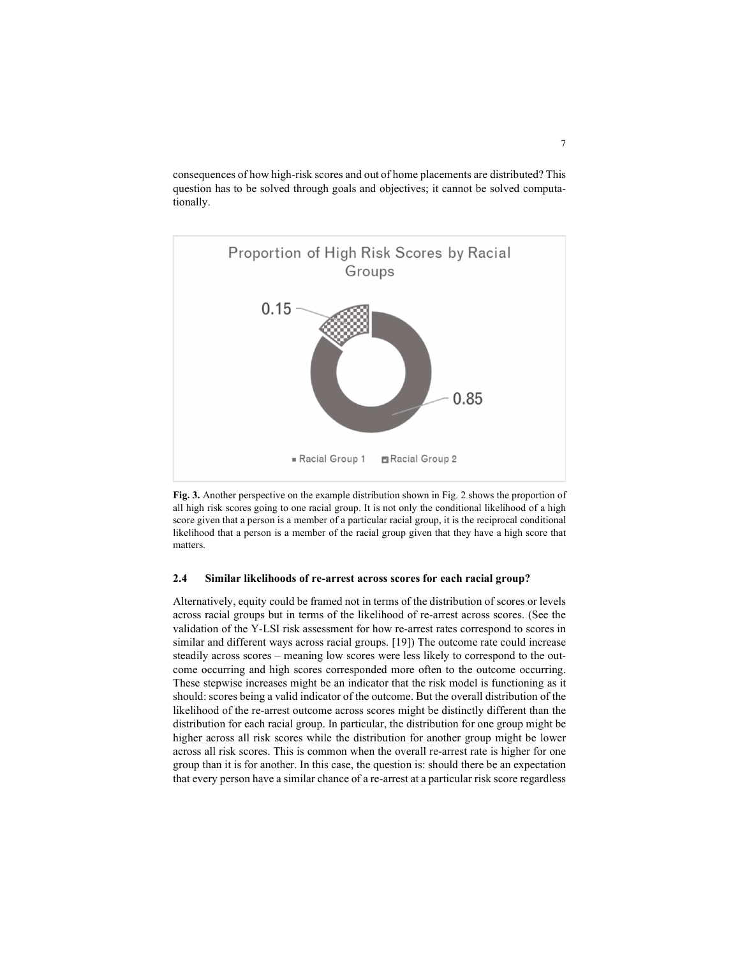consequences of how high-risk scores and out of home placements are distributed? This question has to be solved through goals and objectives; it cannot be solved computationally.



Fig. 3. Another perspective on the example distribution shown in Fig. 2 shows the proportion of all high risk scores going to one racial group. It is not only the conditional likelihood of a high score given that a person is a member of a particular racial group, it is the reciprocal conditional likelihood that a person is a member of the racial group given that they have a high score that matters.

## 2.4 Similar likelihoods of re-arrest across scores for each racial group?

Alternatively, equity could be framed not in terms of the distribution of scores or levels across racial groups but in terms of the likelihood of re-arrest across scores. (See the validation of the Y-LSI risk assessment for how re-arrest rates correspond to scores in similar and different ways across racial groups. [19]) The outcome rate could increase steadily across scores – meaning low scores were less likely to correspond to the outcome occurring and high scores corresponded more often to the outcome occurring. These stepwise increases might be an indicator that the risk model is functioning as it should: scores being a valid indicator of the outcome. But the overall distribution of the likelihood of the re-arrest outcome across scores might be distinctly different than the distribution for each racial group. In particular, the distribution for one group might be higher across all risk scores while the distribution for another group might be lower across all risk scores. This is common when the overall re-arrest rate is higher for one group than it is for another. In this case, the question is: should there be an expectation that every person have a similar chance of a re-arrest at a particular risk score regardless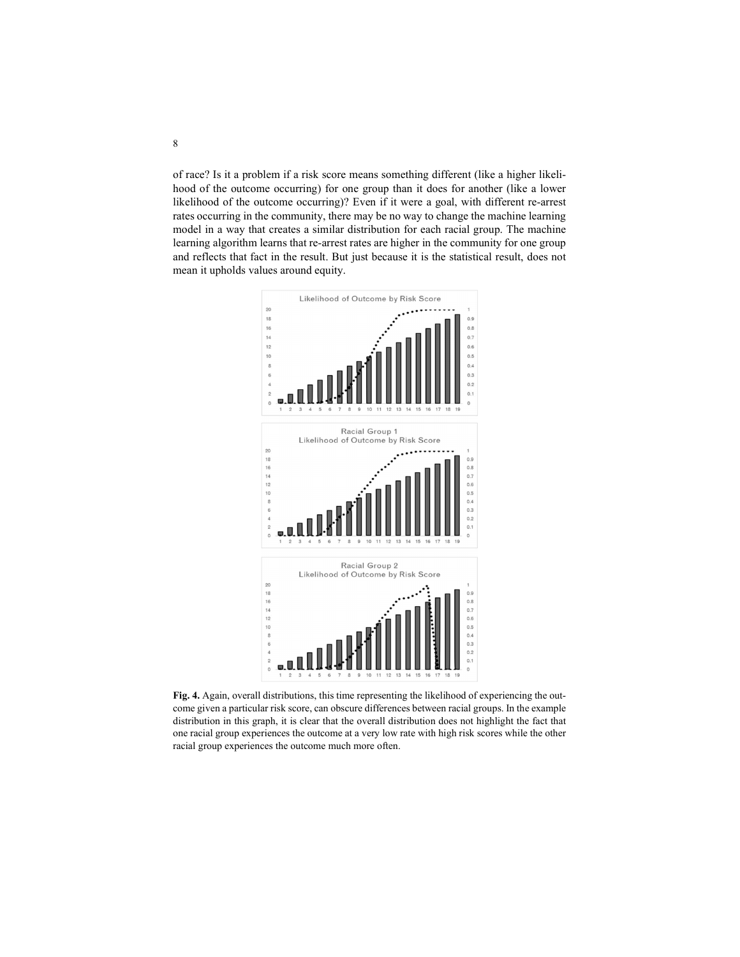of race? Is it a problem if a risk score means something different (like a higher likelihood of the outcome occurring) for one group than it does for another (like a lower likelihood of the outcome occurring)? Even if it were a goal, with different re-arrest rates occurring in the community, there may be no way to change the machine learning model in a way that creates a similar distribution for each racial group. The machine learning algorithm learns that re-arrest rates are higher in the community for one group and reflects that fact in the result. But just because it is the statistical result, does not mean it upholds values around equity.



Fig. 4. Again, overall distributions, this time representing the likelihood of experiencing the outcome given a particular risk score, can obscure differences between racial groups. In the example distribution in this graph, it is clear that the overall distribution does not highlight the fact that one racial group experiences the outcome at a very low rate with high risk scores while the other racial group experiences the outcome much more often.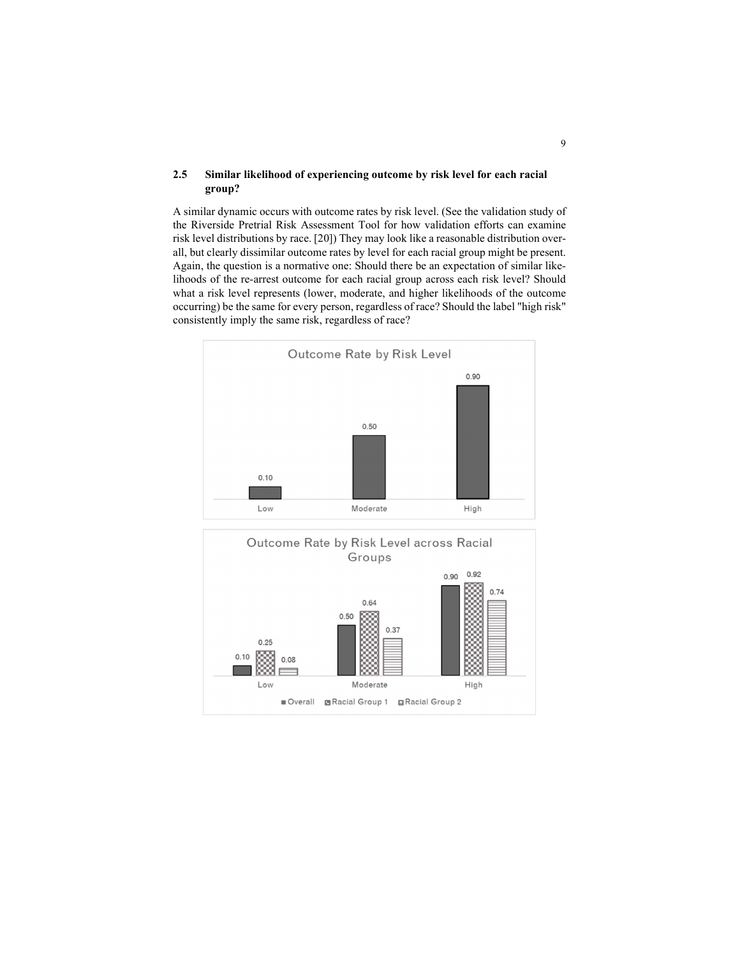### 2.5 Similar likelihood of experiencing outcome by risk level for each racial group?

A similar dynamic occurs with outcome rates by risk level. (See the validation study of the Riverside Pretrial Risk Assessment Tool for how validation efforts can examine risk level distributions by race. [20]) They may look like a reasonable distribution overall, but clearly dissimilar outcome rates by level for each racial group might be present. Again, the question is a normative one: Should there be an expectation of similar likelihoods of the re-arrest outcome for each racial group across each risk level? Should what a risk level represents (lower, moderate, and higher likelihoods of the outcome occurring) be the same for every person, regardless of race? Should the label "high risk" consistently imply the same risk, regardless of race?



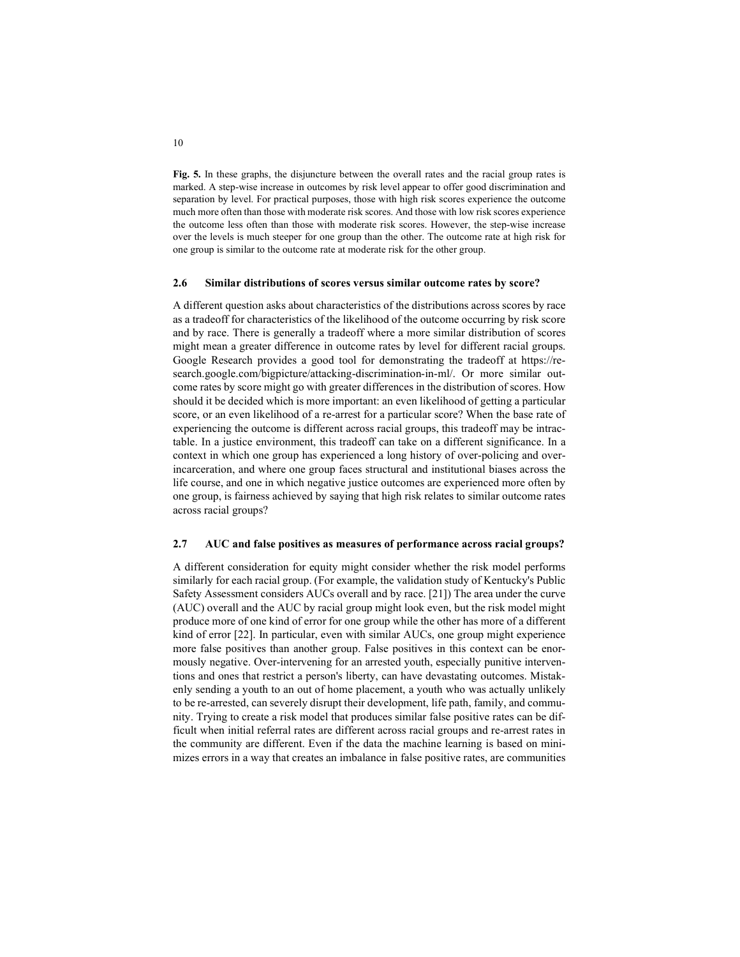Fig. 5. In these graphs, the disjuncture between the overall rates and the racial group rates is marked. A step-wise increase in outcomes by risk level appear to offer good discrimination and separation by level. For practical purposes, those with high risk scores experience the outcome much more often than those with moderate risk scores. And those with low risk scores experience the outcome less often than those with moderate risk scores. However, the step-wise increase over the levels is much steeper for one group than the other. The outcome rate at high risk for one group is similar to the outcome rate at moderate risk for the other group.

#### 2.6 Similar distributions of scores versus similar outcome rates by score?

A different question asks about characteristics of the distributions across scores by race as a tradeoff for characteristics of the likelihood of the outcome occurring by risk score and by race. There is generally a tradeoff where a more similar distribution of scores might mean a greater difference in outcome rates by level for different racial groups. Google Research provides a good tool for demonstrating the tradeoff at https://research.google.com/bigpicture/attacking-discrimination-in-ml/. Or more similar outcome rates by score might go with greater differences in the distribution of scores. How should it be decided which is more important: an even likelihood of getting a particular score, or an even likelihood of a re-arrest for a particular score? When the base rate of experiencing the outcome is different across racial groups, this tradeoff may be intractable. In a justice environment, this tradeoff can take on a different significance. In a context in which one group has experienced a long history of over-policing and overincarceration, and where one group faces structural and institutional biases across the life course, and one in which negative justice outcomes are experienced more often by one group, is fairness achieved by saying that high risk relates to similar outcome rates across racial groups?

#### 2.7 AUC and false positives as measures of performance across racial groups?

A different consideration for equity might consider whether the risk model performs similarly for each racial group. (For example, the validation study of Kentucky's Public Safety Assessment considers AUCs overall and by race. [21]) The area under the curve (AUC) overall and the AUC by racial group might look even, but the risk model might produce more of one kind of error for one group while the other has more of a different kind of error [22]. In particular, even with similar AUCs, one group might experience more false positives than another group. False positives in this context can be enormously negative. Over-intervening for an arrested youth, especially punitive interventions and ones that restrict a person's liberty, can have devastating outcomes. Mistakenly sending a youth to an out of home placement, a youth who was actually unlikely to be re-arrested, can severely disrupt their development, life path, family, and community. Trying to create a risk model that produces similar false positive rates can be difficult when initial referral rates are different across racial groups and re-arrest rates in the community are different. Even if the data the machine learning is based on minimizes errors in a way that creates an imbalance in false positive rates, are communities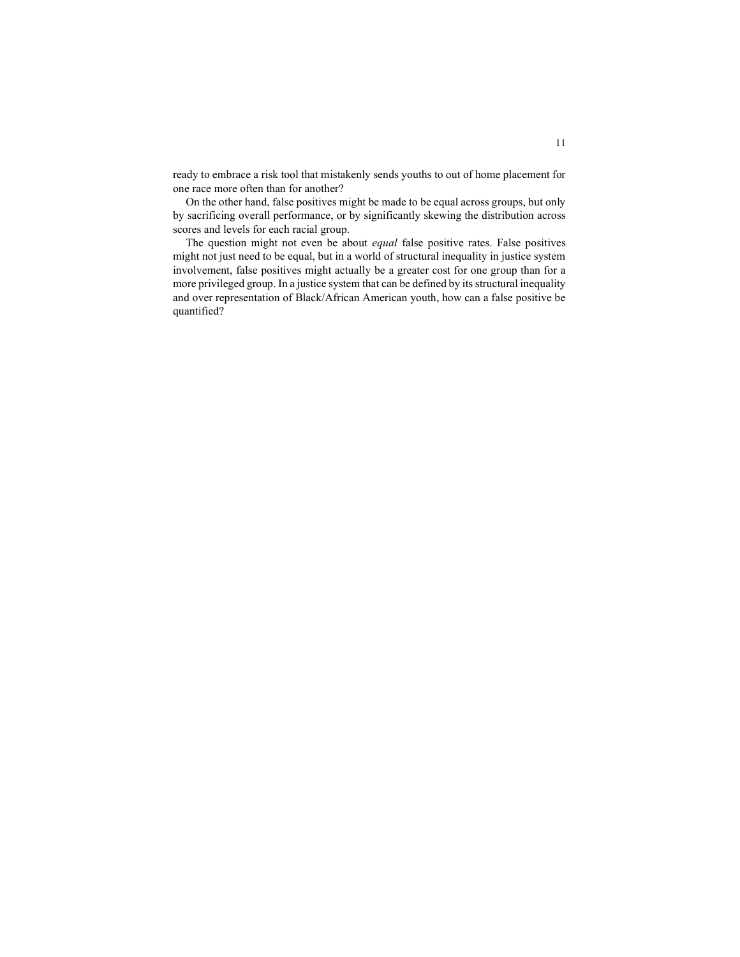ready to embrace a risk tool that mistakenly sends youths to out of home placement for one race more often than for another?

On the other hand, false positives might be made to be equal across groups, but only by sacrificing overall performance, or by significantly skewing the distribution across scores and levels for each racial group.

The question might not even be about equal false positive rates. False positives might not just need to be equal, but in a world of structural inequality in justice system involvement, false positives might actually be a greater cost for one group than for a more privileged group. In a justice system that can be defined by its structural inequality and over representation of Black/African American youth, how can a false positive be quantified?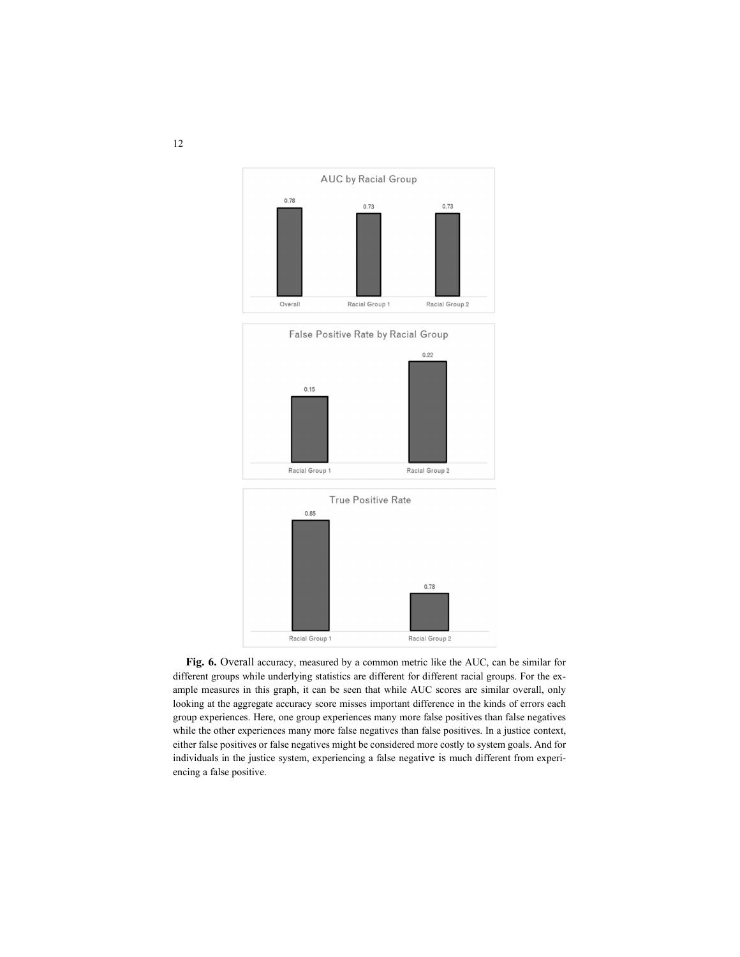



Fig. 6. Overall accuracy, measured by a common metric like the AUC, can be similar for different groups while underlying statistics are different for different racial groups. For the example measures in this graph, it can be seen that while AUC scores are similar overall, only looking at the aggregate accuracy score misses important difference in the kinds of errors each group experiences. Here, one group experiences many more false positives than false negatives while the other experiences many more false negatives than false positives. In a justice context, either false positives or false negatives might be considered more costly to system goals. And for individuals in the justice system, experiencing a false negative is much different from experiencing a false positive.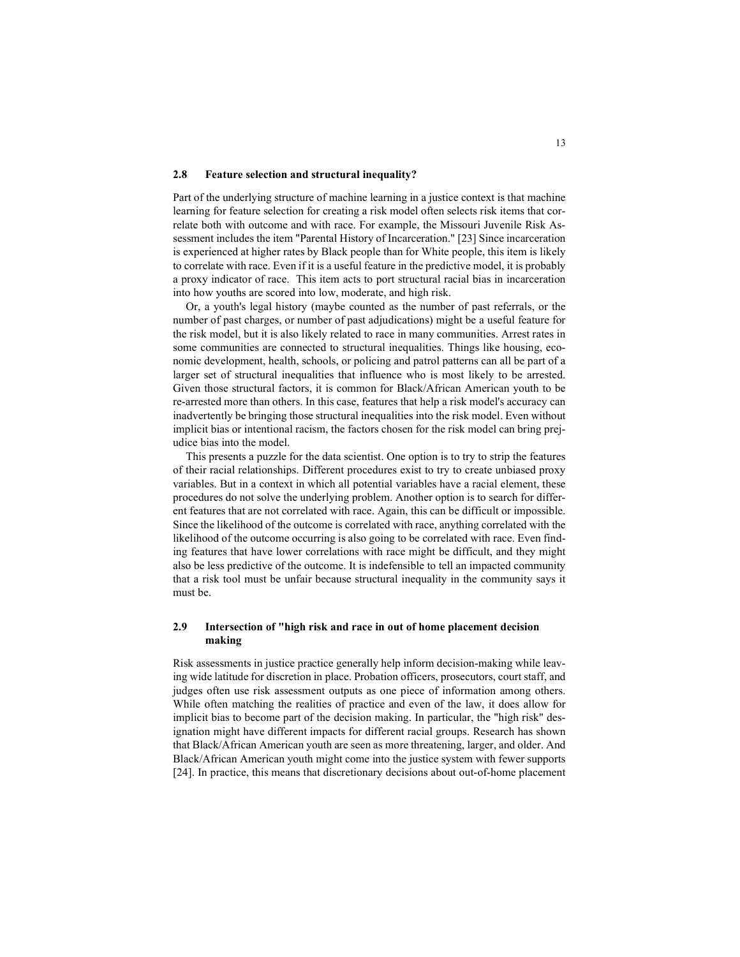#### 2.8 Feature selection and structural inequality?

Part of the underlying structure of machine learning in a justice context is that machine learning for feature selection for creating a risk model often selects risk items that correlate both with outcome and with race. For example, the Missouri Juvenile Risk Assessment includes the item "Parental History of Incarceration." [23] Since incarceration is experienced at higher rates by Black people than for White people, this item is likely to correlate with race. Even if it is a useful feature in the predictive model, it is probably a proxy indicator of race. This item acts to port structural racial bias in incarceration into how youths are scored into low, moderate, and high risk.

Or, a youth's legal history (maybe counted as the number of past referrals, or the number of past charges, or number of past adjudications) might be a useful feature for the risk model, but it is also likely related to race in many communities. Arrest rates in some communities are connected to structural inequalities. Things like housing, economic development, health, schools, or policing and patrol patterns can all be part of a larger set of structural inequalities that influence who is most likely to be arrested. Given those structural factors, it is common for Black/African American youth to be re-arrested more than others. In this case, features that help a risk model's accuracy can inadvertently be bringing those structural inequalities into the risk model. Even without implicit bias or intentional racism, the factors chosen for the risk model can bring prejudice bias into the model.

This presents a puzzle for the data scientist. One option is to try to strip the features of their racial relationships. Different procedures exist to try to create unbiased proxy variables. But in a context in which all potential variables have a racial element, these procedures do not solve the underlying problem. Another option is to search for different features that are not correlated with race. Again, this can be difficult or impossible. Since the likelihood of the outcome is correlated with race, anything correlated with the likelihood of the outcome occurring is also going to be correlated with race. Even finding features that have lower correlations with race might be difficult, and they might also be less predictive of the outcome. It is indefensible to tell an impacted community that a risk tool must be unfair because structural inequality in the community says it must be.

### 2.9 Intersection of "high risk and race in out of home placement decision making

Risk assessments in justice practice generally help inform decision-making while leaving wide latitude for discretion in place. Probation officers, prosecutors, court staff, and judges often use risk assessment outputs as one piece of information among others. While often matching the realities of practice and even of the law, it does allow for implicit bias to become part of the decision making. In particular, the "high risk" designation might have different impacts for different racial groups. Research has shown that Black/African American youth are seen as more threatening, larger, and older. And Black/African American youth might come into the justice system with fewer supports [24]. In practice, this means that discretionary decisions about out-of-home placement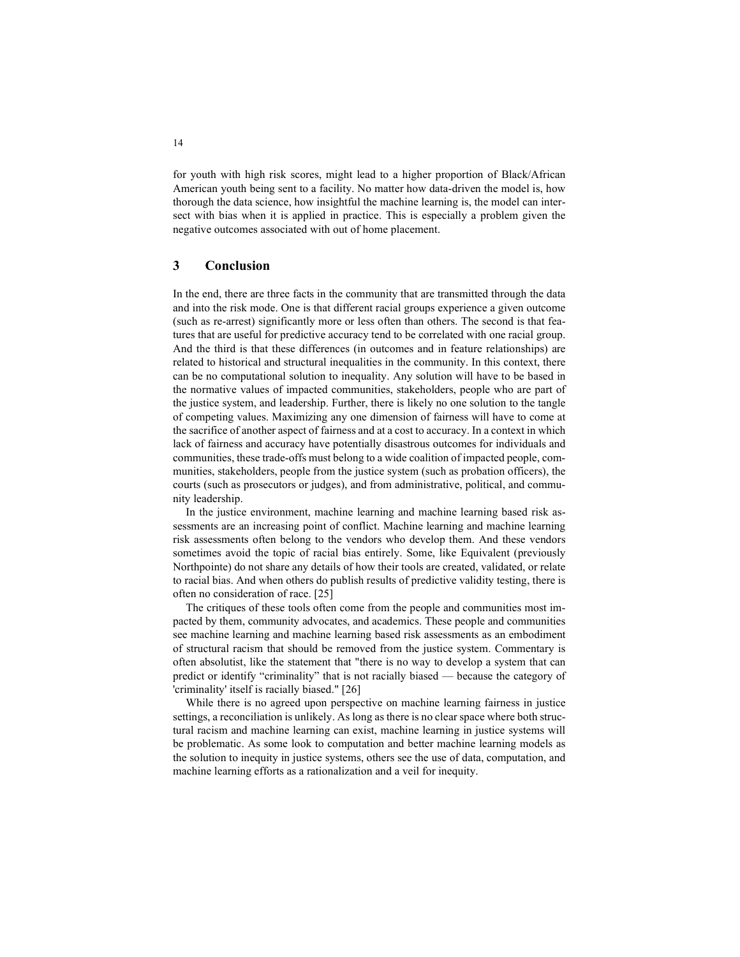for youth with high risk scores, might lead to a higher proportion of Black/African American youth being sent to a facility. No matter how data-driven the model is, how thorough the data science, how insightful the machine learning is, the model can intersect with bias when it is applied in practice. This is especially a problem given the negative outcomes associated with out of home placement.

## 3 Conclusion

In the end, there are three facts in the community that are transmitted through the data and into the risk mode. One is that different racial groups experience a given outcome (such as re-arrest) significantly more or less often than others. The second is that features that are useful for predictive accuracy tend to be correlated with one racial group. And the third is that these differences (in outcomes and in feature relationships) are related to historical and structural inequalities in the community. In this context, there can be no computational solution to inequality. Any solution will have to be based in the normative values of impacted communities, stakeholders, people who are part of the justice system, and leadership. Further, there is likely no one solution to the tangle of competing values. Maximizing any one dimension of fairness will have to come at the sacrifice of another aspect of fairness and at a cost to accuracy. In a context in which lack of fairness and accuracy have potentially disastrous outcomes for individuals and communities, these trade-offs must belong to a wide coalition of impacted people, communities, stakeholders, people from the justice system (such as probation officers), the courts (such as prosecutors or judges), and from administrative, political, and community leadership.

In the justice environment, machine learning and machine learning based risk assessments are an increasing point of conflict. Machine learning and machine learning risk assessments often belong to the vendors who develop them. And these vendors sometimes avoid the topic of racial bias entirely. Some, like Equivalent (previously Northpointe) do not share any details of how their tools are created, validated, or relate to racial bias. And when others do publish results of predictive validity testing, there is often no consideration of race. [25]

The critiques of these tools often come from the people and communities most impacted by them, community advocates, and academics. These people and communities see machine learning and machine learning based risk assessments as an embodiment of structural racism that should be removed from the justice system. Commentary is often absolutist, like the statement that "there is no way to develop a system that can predict or identify "criminality" that is not racially biased — because the category of 'criminality' itself is racially biased." [26]

While there is no agreed upon perspective on machine learning fairness in justice settings, a reconciliation is unlikely. As long as there is no clear space where both structural racism and machine learning can exist, machine learning in justice systems will be problematic. As some look to computation and better machine learning models as the solution to inequity in justice systems, others see the use of data, computation, and machine learning efforts as a rationalization and a veil for inequity.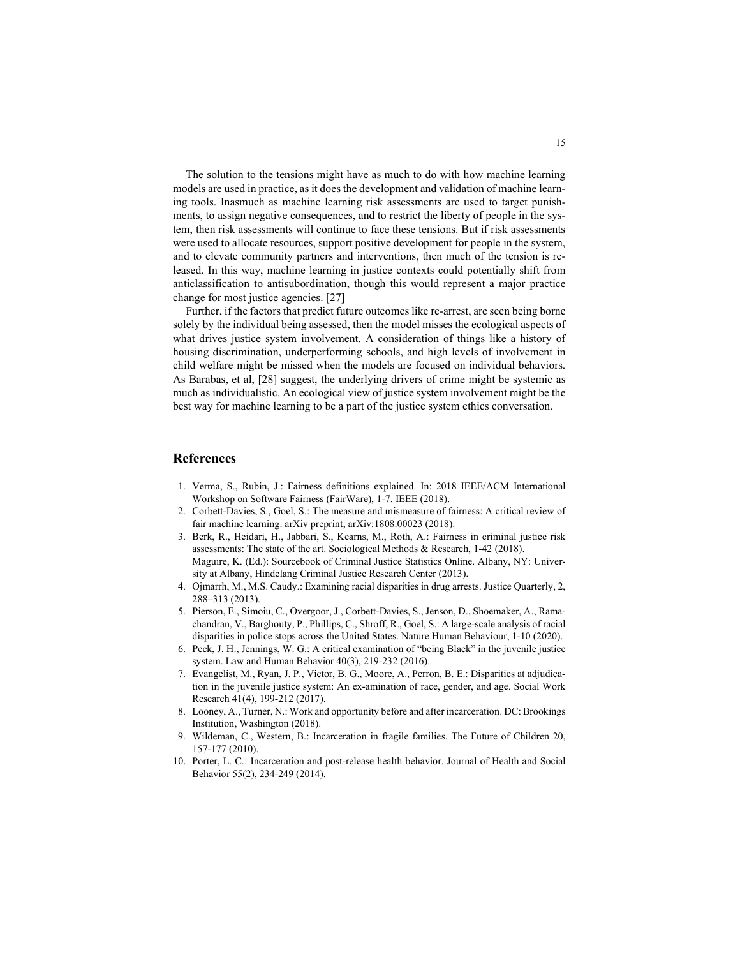The solution to the tensions might have as much to do with how machine learning models are used in practice, as it does the development and validation of machine learning tools. Inasmuch as machine learning risk assessments are used to target punishments, to assign negative consequences, and to restrict the liberty of people in the system, then risk assessments will continue to face these tensions. But if risk assessments were used to allocate resources, support positive development for people in the system, and to elevate community partners and interventions, then much of the tension is released. In this way, machine learning in justice contexts could potentially shift from anticlassification to antisubordination, though this would represent a major practice change for most justice agencies. [27]

Further, if the factors that predict future outcomes like re-arrest, are seen being borne solely by the individual being assessed, then the model misses the ecological aspects of what drives justice system involvement. A consideration of things like a history of housing discrimination, underperforming schools, and high levels of involvement in child welfare might be missed when the models are focused on individual behaviors. As Barabas, et al, [28] suggest, the underlying drivers of crime might be systemic as much as individualistic. An ecological view of justice system involvement might be the best way for machine learning to be a part of the justice system ethics conversation.

#### References

- 1. Verma, S., Rubin, J.: Fairness definitions explained. In: 2018 IEEE/ACM International Workshop on Software Fairness (FairWare), 1-7. IEEE (2018).
- 2. Corbett-Davies, S., Goel, S.: The measure and mismeasure of fairness: A critical review of fair machine learning. arXiv preprint, arXiv:1808.00023 (2018).
- 3. Berk, R., Heidari, H., Jabbari, S., Kearns, M., Roth, A.: Fairness in criminal justice risk assessments: The state of the art. Sociological Methods & Research, 1-42 (2018). Maguire, K. (Ed.): Sourcebook of Criminal Justice Statistics Online. Albany, NY: University at Albany, Hindelang Criminal Justice Research Center (2013).
- 4. Ojmarrh, M., M.S. Caudy.: Examining racial disparities in drug arrests. Justice Quarterly, 2, 288–313 (2013).
- 5. Pierson, E., Simoiu, C., Overgoor, J., Corbett-Davies, S., Jenson, D., Shoemaker, A., Ramachandran, V., Barghouty, P., Phillips, C., Shroff, R., Goel, S.: A large-scale analysis of racial disparities in police stops across the United States. Nature Human Behaviour, 1-10 (2020).
- 6. Peck, J. H., Jennings, W. G.: A critical examination of "being Black" in the juvenile justice system. Law and Human Behavior 40(3), 219-232 (2016).
- 7. Evangelist, M., Ryan, J. P., Victor, B. G., Moore, A., Perron, B. E.: Disparities at adjudication in the juvenile justice system: An ex-amination of race, gender, and age. Social Work Research 41(4), 199-212 (2017).
- 8. Looney, A., Turner, N.: Work and opportunity before and after incarceration. DC: Brookings Institution, Washington (2018).
- 9. Wildeman, C., Western, B.: Incarceration in fragile families. The Future of Children 20, 157-177 (2010).
- 10. Porter, L. C.: Incarceration and post-release health behavior. Journal of Health and Social Behavior 55(2), 234-249 (2014).